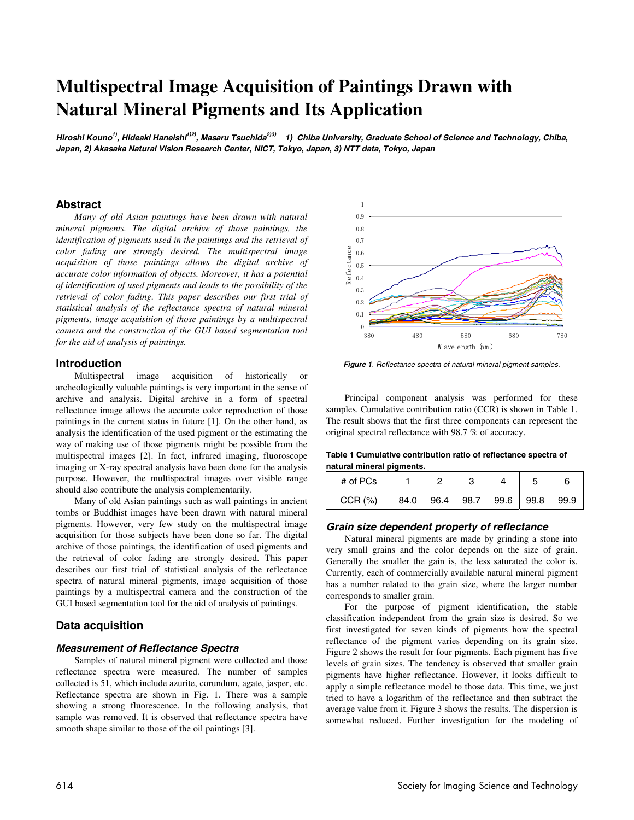# **Multispectral Image Acquisition of Paintings Drawn with Natural Mineral Pigments and Its Application**

**Hiroshi Kouno1) , Hideaki Haneishi1)2) , Masaru Tsuchida2)3) 1) Chiba University, Graduate School of Science and Technology, Chiba, Japan, 2) Akasaka Natural Vision Research Center, NICT, Tokyo, Japan, 3) NTT data, Tokyo, Japan** 

## **Abstract**

*Many of old Asian paintings have been drawn with natural mineral pigments. The digital archive of those paintings, the identification of pigments used in the paintings and the retrieval of color fading are strongly desired. The multispectral image acquisition of those paintings allows the digital archive of accurate color information of objects. Moreover, it has a potential of identification of used pigments and leads to the possibility of the retrieval of color fading. This paper describes our first trial of statistical analysis of the reflectance spectra of natural mineral pigments, image acquisition of those paintings by a multispectral camera and the construction of the GUI based segmentation tool for the aid of analysis of paintings.* 

### **Introduction**

Multispectral image acquisition of historically or archeologically valuable paintings is very important in the sense of archive and analysis. Digital archive in a form of spectral reflectance image allows the accurate color reproduction of those paintings in the current status in future [1]. On the other hand, as analysis the identification of the used pigment or the estimating the way of making use of those pigments might be possible from the multispectral images [2]. In fact, infrared imaging, fluoroscope imaging or X-ray spectral analysis have been done for the analysis purpose. However, the multispectral images over visible range should also contribute the analysis complementarily.

Many of old Asian paintings such as wall paintings in ancient tombs or Buddhist images have been drawn with natural mineral pigments. However, very few study on the multispectral image acquisition for those subjects have been done so far. The digital archive of those paintings, the identification of used pigments and the retrieval of color fading are strongly desired. This paper describes our first trial of statistical analysis of the reflectance spectra of natural mineral pigments, image acquisition of those paintings by a multispectral camera and the construction of the GUI based segmentation tool for the aid of analysis of paintings.

## **Data acquisition**

#### **Measurement of Reflectance Spectra**

Samples of natural mineral pigment were collected and those reflectance spectra were measured. The number of samples collected is 51, which include azurite, corundum, agate, jasper, etc. Reflectance spectra are shown in Fig. 1. There was a sample showing a strong fluorescence. In the following analysis, that sample was removed. It is observed that reflectance spectra have smooth shape similar to those of the oil paintings [3].



**Figure 1**. Reflectance spectra of natural mineral pigment samples.

Principal component analysis was performed for these samples. Cumulative contribution ratio (CCR) is shown in Table 1. The result shows that the first three components can represent the original spectral reflectance with 98.7 % of accuracy.

#### **Table 1 Cumulative contribution ratio of reflectance spectra of natural mineral pigments.**

| # of PCs |      |      |      |      |      |      |
|----------|------|------|------|------|------|------|
| CCR (%)  | 84.0 | 96.4 | 98.7 | 99.6 | 99.8 | 99.9 |

#### **Grain size dependent property of reflectance**

Natural mineral pigments are made by grinding a stone into very small grains and the color depends on the size of grain. Generally the smaller the gain is, the less saturated the color is. Currently, each of commercially available natural mineral pigment has a number related to the grain size, where the larger number corresponds to smaller grain.

For the purpose of pigment identification, the stable classification independent from the grain size is desired. So we first investigated for seven kinds of pigments how the spectral reflectance of the pigment varies depending on its grain size. Figure 2 shows the result for four pigments. Each pigment has five levels of grain sizes. The tendency is observed that smaller grain pigments have higher reflectance. However, it looks difficult to apply a simple reflectance model to those data. This time, we just tried to have a logarithm of the reflectance and then subtract the average value from it. Figure 3 shows the results. The dispersion is somewhat reduced. Further investigation for the modeling of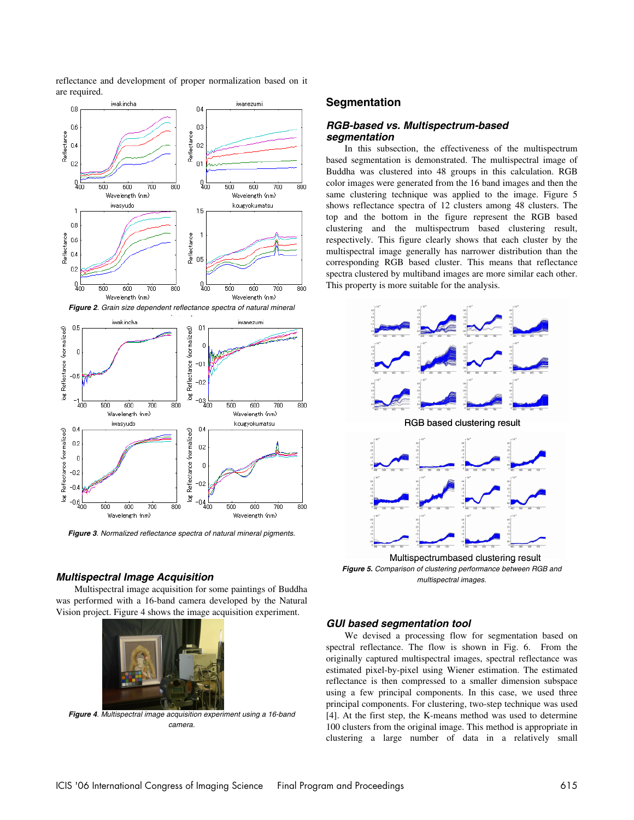reflectance and development of proper normalization based on it are required.



**Figure 3**. Normalized reflectance spectra of natural mineral pigments.

#### **Multispectral Image Acquisition**

Multispectral image acquisition for some paintings of Buddha was performed with a 16-band camera developed by the Natural Vision project. Figure 4 shows the image acquisition experiment.



**Figure 4**. Multispectral image acquisition experiment using a 16-band camera.

## **Segmentation**

### **RGB-based vs. Multispectrum-based segmentation**

In this subsection, the effectiveness of the multispectrum based segmentation is demonstrated. The multispectral image of Buddha was clustered into 48 groups in this calculation. RGB color images were generated from the 16 band images and then the same clustering technique was applied to the image. Figure 5 shows reflectance spectra of 12 clusters among 48 clusters. The top and the bottom in the figure represent the RGB based clustering and the multispectrum based clustering result, respectively. This figure clearly shows that each cluster by the multispectral image generally has narrower distribution than the corresponding RGB based cluster. This means that reflectance spectra clustered by multiband images are more similar each other. This property is more suitable for the analysis.



**Figure 5.** Comparison of clustering performance between RGB and multispectral images. Multispectrumbased clustering result

#### **GUI based segmentation tool**

We devised a processing flow for segmentation based on spectral reflectance. The flow is shown in Fig. 6. From the originally captured multispectral images, spectral reflectance was estimated pixel-by-pixel using Wiener estimation. The estimated reflectance is then compressed to a smaller dimension subspace using a few principal components. In this case, we used three principal components. For clustering, two-step technique was used [4]. At the first step, the K-means method was used to determine 100 clusters from the original image. This method is appropriate in clustering a large number of data in a relatively small